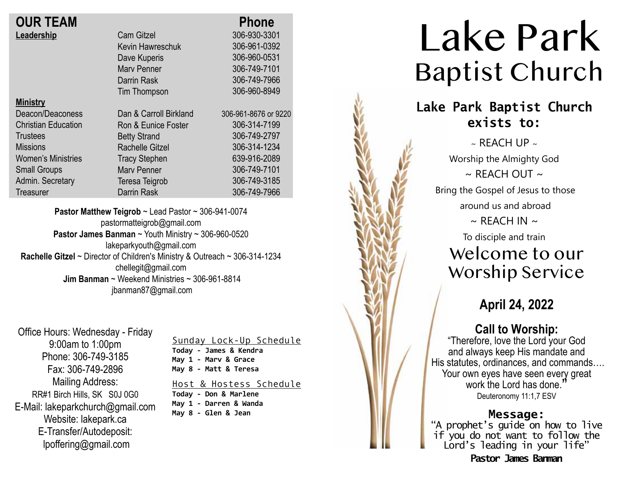| <b>OUR TEAM</b> |  |
|-----------------|--|
| Leadership      |  |

| Mınıstı |  |
|---------|--|
|         |  |

Deacon/Deaconess Christian Education **Trustees Missions** Women's Ministries Small Groups Admin. Secretary **Treasurer** 

Cam Gitzel Kevin Hawreschuk Dave Kuperis Marv Penner Darrin Rask Tim Thompson Dan & Carroll Birkland Ron & Eunice Foster Betty Strand Rachelle Gitzel Tracy Stephen Marv Penner Teresa Teigrob Darrin Rask  **Phone** 306-930-3301 306-961-0392 306-960-0531 306-749-7101 306-749-7966 306-960-8949 306-961-8676 or 9220 306-314-7199 306-749-2797 306-314-1234 639-916-2089 306-749-7101 306-749-3185 306-749-7966

**Pastor Matthew Teigrob** ~ Lead Pastor ~ 306-941-0074 pastormatteigrob@gmail.com **Pastor James Banman** ~ Youth Ministry ~ 306-960-0520 lakeparkyouth@gmail.com **Rachelle Gitzel** ~ Director of Children's Ministry & Outreach ~ 306-314-1234 chellegit@gmail.com  **Jim Banman** ~ Weekend Ministries ~ 306-961-8814 jbanman87@gmail.com

Office Hours: Wednesday - Friday 9:00am to 1:00pm Phone: 306-749-3185 Fax: 306-749-2896 Mailing Address: RR#1 Birch Hills, SK S0J 0G0 E-Mail: lakeparkchurch@gmail.com Website: lakepark.ca E-Transfer/Autodeposit: lpoffering@gmail.com

Sunday Lock-Up Schedule **Today - James & Kendra May 1 - Marv & Grace May 8 - Matt & Teresa** 

Host & Hostess Schedule **Today - Don & Marlene May 1 - Darren & Wanda May 8 - Glen & Jean**



**Pastor James Banman**